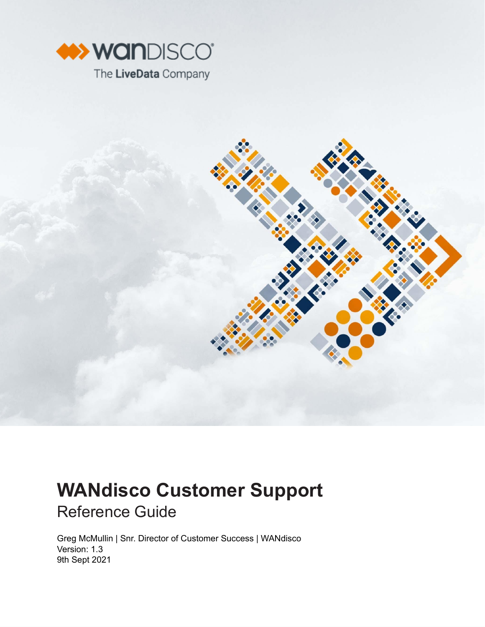



# **WANdisco Customer Support** Reference Guide

Greg McMullin | Snr. Director of Customer Success | WANdisco Version: 1.3 9th Sept 2021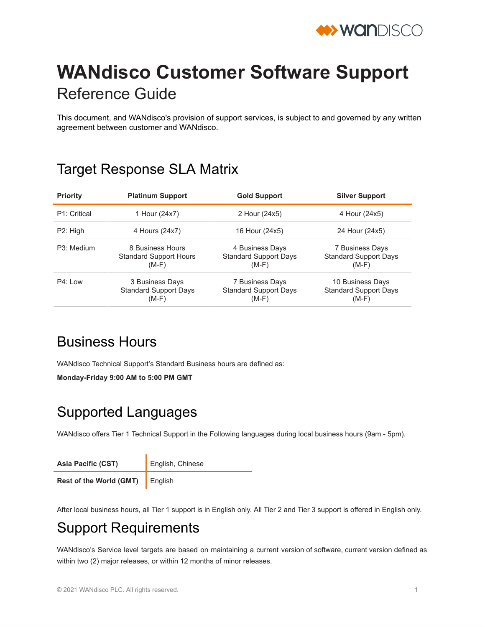

# **WANdisco Customer Software Support** Reference Guide

This document, and WANdisco's provision of support services, is subject to and governed by any written agreement between customer and WANdisco.

## Target Response SLA Matrix

| <b>Priority</b> | <b>Platinum Support</b>                                      | <b>Gold Support</b>                                        | <b>Silver Support</b>                                       |
|-----------------|--------------------------------------------------------------|------------------------------------------------------------|-------------------------------------------------------------|
| P1: Critical    | 1 Hour (24x7)                                                | 2 Hour (24x5)                                              | 4 Hour (24x5)                                               |
| P2: High        | 4 Hours (24x7)                                               | 16 Hour (24x5)                                             | 24 Hour (24x5)                                              |
| P3: Medium      | 8 Business Hours<br><b>Standard Support Hours</b><br>$(M-F)$ | 4 Business Days<br><b>Standard Support Days</b><br>$(M-F)$ | 7 Business Days<br><b>Standard Support Days</b><br>$(M-F)$  |
| $P4:1$ ow       | 3 Business Days<br><b>Standard Support Days</b><br>$(M-F)$   | 7 Business Days<br><b>Standard Support Days</b><br>$(M-F)$ | 10 Business Days<br><b>Standard Support Days</b><br>$(M-F)$ |

## Business Hours

WANdisco Technical Support's Standard Business hours are defined as:

**Monday-Friday 9:00 AM to 5:00 PM GMT**

## Supported Languages

WANdisco offers Tier 1 Technical Support in the Following languages during local business hours (9am - 5pm).

| <b>Asia Pacific (CST)</b>      | English, Chinese |  |
|--------------------------------|------------------|--|
| <b>Rest of the World (GMT)</b> | <b>I</b> English |  |

After local business hours, all Tier 1 support is in English only. All Tier 2 and Tier 3 support is offered in English only.

## Support Requirements

WANdisco's Service level targets are based on maintaining a current version of software, current version defined as within two (2) major releases, or within 12 months of minor releases.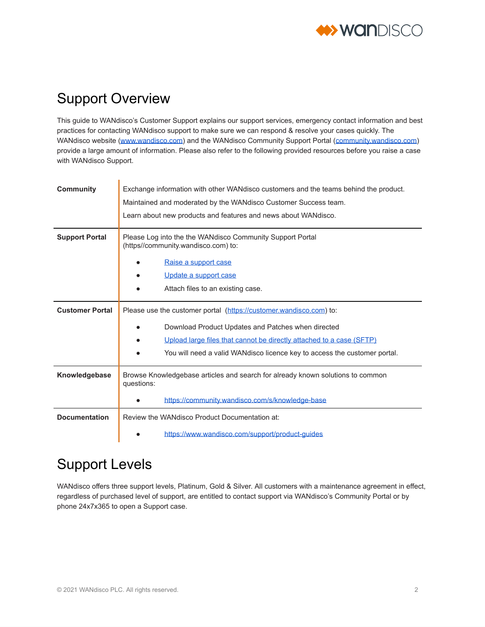

## Support Overview

This guide to WANdisco's Customer Support explains our support services, emergency contact information and best practices for contacting WANdisco support to make sure we can respond & resolve your cases quickly. The WANdisco website [\(www.wandisco.com\)](http://www.wandisco.com/) and the WANdisco Community Support Portal ([community.wandisco.com](https://community.wandisco.com/)) provide a large amount of information. Please also refer to the following provided resources before you raise a case with WANdisco Support.

| <b>Community</b>       | Exchange information with other WANdisco customers and the teams behind the product.<br>Maintained and moderated by the WANdisco Customer Success team.<br>Learn about new products and features and news about WANdisco. |  |
|------------------------|---------------------------------------------------------------------------------------------------------------------------------------------------------------------------------------------------------------------------|--|
| <b>Support Portal</b>  | Please Log into the the WANdisco Community Support Portal<br>(https//community.wandisco.com) to:                                                                                                                          |  |
|                        | Raise a support case                                                                                                                                                                                                      |  |
|                        | Update a support case                                                                                                                                                                                                     |  |
|                        | Attach files to an existing case.                                                                                                                                                                                         |  |
| <b>Customer Portal</b> | Please use the customer portal (https://customer.wandisco.com) to:                                                                                                                                                        |  |
|                        | Download Product Updates and Patches when directed                                                                                                                                                                        |  |
|                        | Upload large files that cannot be directly attached to a case (SFTP)                                                                                                                                                      |  |
|                        | You will need a valid WANdisco licence key to access the customer portal.                                                                                                                                                 |  |
| Knowledgebase          | Browse Knowledgebase articles and search for already known solutions to common<br>questions:                                                                                                                              |  |
|                        | https://community.wandisco.com/s/knowledge-base                                                                                                                                                                           |  |
| <b>Documentation</b>   | Review the WANdisco Product Documentation at:                                                                                                                                                                             |  |
|                        | https://www.wandisco.com/support/product-guides                                                                                                                                                                           |  |

## Support Levels

WANdisco offers three support levels, Platinum, Gold & Silver. All customers with a maintenance agreement in effect, regardless of purchased level of support, are entitled to contact support via WANdisco's Community Portal or by phone 24x7x365 to open a Support case.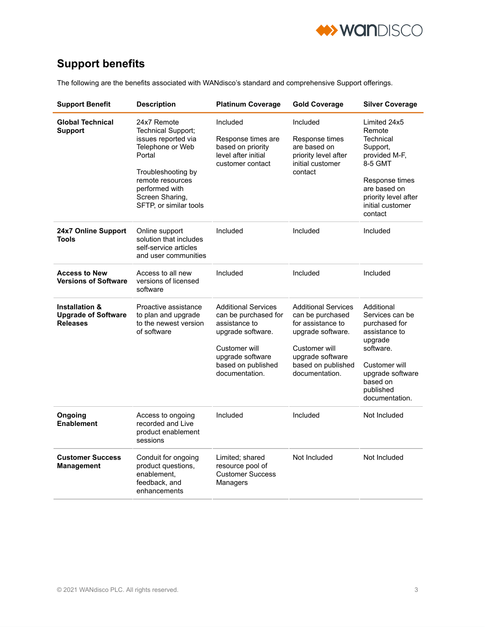

### **Support benefits**

The following are the benefits associated with WANdisco's standard and comprehensive Support offerings.

| <b>Support Benefit</b>                                                     | <b>Description</b>                                                                                                                                                                              | <b>Platinum Coverage</b>                                                                                                                                              | <b>Gold Coverage</b>                                                                                                                                                  | <b>Silver Coverage</b>                                                                                                                                                      |
|----------------------------------------------------------------------------|-------------------------------------------------------------------------------------------------------------------------------------------------------------------------------------------------|-----------------------------------------------------------------------------------------------------------------------------------------------------------------------|-----------------------------------------------------------------------------------------------------------------------------------------------------------------------|-----------------------------------------------------------------------------------------------------------------------------------------------------------------------------|
| <b>Global Technical</b><br><b>Support</b>                                  | 24x7 Remote<br>Technical Support;<br>issues reported via<br>Telephone or Web<br>Portal<br>Troubleshooting by<br>remote resources<br>performed with<br>Screen Sharing,<br>SFTP, or similar tools | Included<br>Response times are<br>based on priority<br>level after initial<br>customer contact                                                                        | Included<br>Response times<br>are based on<br>priority level after<br>initial customer<br>contact                                                                     | Limited 24x5<br>Remote<br><b>Technical</b><br>Support,<br>provided M-F,<br>8-5 GMT<br>Response times<br>are based on<br>priority level after<br>initial customer<br>contact |
| 24x7 Online Support<br><b>Tools</b>                                        | Online support<br>solution that includes<br>self-service articles<br>and user communities                                                                                                       | Included                                                                                                                                                              | Included                                                                                                                                                              | Included                                                                                                                                                                    |
| <b>Access to New</b><br><b>Versions of Software</b>                        | Access to all new<br>versions of licensed<br>software                                                                                                                                           | Included                                                                                                                                                              | Included                                                                                                                                                              | Included                                                                                                                                                                    |
| <b>Installation &amp;</b><br><b>Upgrade of Software</b><br><b>Releases</b> | Proactive assistance<br>to plan and upgrade<br>to the newest version<br>of software                                                                                                             | <b>Additional Services</b><br>can be purchased for<br>assistance to<br>upgrade software.<br>Customer will<br>upgrade software<br>based on published<br>documentation. | <b>Additional Services</b><br>can be purchased<br>for assistance to<br>upgrade software.<br>Customer will<br>upgrade software<br>based on published<br>documentation. | Additional<br>Services can be<br>purchased for<br>assistance to<br>upgrade<br>software.<br>Customer will<br>upgrade software<br>based on<br>published<br>documentation.     |
| Ongoing<br><b>Enablement</b>                                               | Access to ongoing<br>recorded and Live<br>product enablement<br>sessions                                                                                                                        | Included                                                                                                                                                              | Included                                                                                                                                                              | Not Included                                                                                                                                                                |
| <b>Customer Success</b><br><b>Management</b>                               | Conduit for ongoing<br>product questions,<br>enablement,<br>feedback, and<br>enhancements                                                                                                       | Limited; shared<br>resource pool of<br><b>Customer Success</b><br>Managers                                                                                            | Not Included                                                                                                                                                          | Not Included                                                                                                                                                                |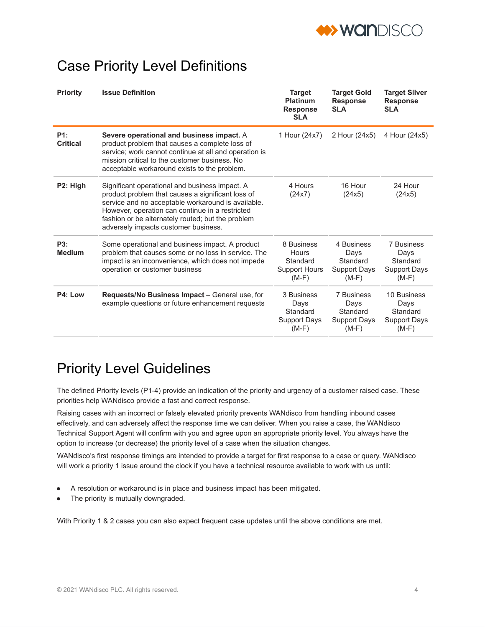

## Case Priority Level Definitions

| <b>Priority</b>             | <b>Issue Definition</b>                                                                                                                                                                                                                                                                                   | <b>Target</b><br><b>Platinum</b><br><b>Response</b><br><b>SLA</b>  | <b>Target Gold</b><br><b>Response</b><br><b>SLA</b>              | <b>Target Silver</b><br><b>Response</b><br><b>SLA</b>             |
|-----------------------------|-----------------------------------------------------------------------------------------------------------------------------------------------------------------------------------------------------------------------------------------------------------------------------------------------------------|--------------------------------------------------------------------|------------------------------------------------------------------|-------------------------------------------------------------------|
| P1:<br><b>Critical</b>      | Severe operational and business impact. A<br>product problem that causes a complete loss of<br>service; work cannot continue at all and operation is<br>mission critical to the customer business. No<br>acceptable workaround exists to the problem.                                                     | 1 Hour (24x7)                                                      | 2 Hour (24x5)                                                    | 4 Hour (24x5)                                                     |
| P2: High                    | Significant operational and business impact. A<br>product problem that causes a significant loss of<br>service and no acceptable workaround is available.<br>However, operation can continue in a restricted<br>fashion or be alternately routed; but the problem<br>adversely impacts customer business. | 4 Hours<br>(24x7)                                                  | 16 Hour<br>(24x5)                                                | 24 Hour<br>(24x5)                                                 |
| <b>P3:</b><br><b>Medium</b> | Some operational and business impact. A product<br>problem that causes some or no loss in service. The<br>impact is an inconvenience, which does not impede<br>operation or customer business                                                                                                             | 8 Business<br>Hours<br>Standard<br><b>Support Hours</b><br>$(M-F)$ | 4 Business<br>Days<br>Standard<br><b>Support Days</b><br>$(M-F)$ | 7 Business<br>Days<br>Standard<br><b>Support Days</b><br>$(M-F)$  |
| P4: Low                     | Requests/No Business Impact - General use, for<br>example questions or future enhancement requests                                                                                                                                                                                                        | 3 Business<br>Days<br>Standard<br>Support Days<br>$(M-F)$          | 7 Business<br>Days<br>Standard<br>Support Days<br>$(M-F)$        | 10 Business<br>Days<br>Standard<br><b>Support Days</b><br>$(M-F)$ |

## Priority Level Guidelines

The defined Priority levels (P1-4) provide an indication of the priority and urgency of a customer raised case. These priorities help WANdisco provide a fast and correct response.

Raising cases with an incorrect or falsely elevated priority prevents WANdisco from handling inbound cases effectively, and can adversely affect the response time we can deliver. When you raise a case, the WANdisco Technical Support Agent will confirm with you and agree upon an appropriate priority level. You always have the option to increase (or decrease) the priority level of a case when the situation changes.

WANdisco's first response timings are intended to provide a target for first response to a case or query. WANdisco will work a priority 1 issue around the clock if you have a technical resource available to work with us until:

- A resolution or workaround is in place and business impact has been mitigated.
- The priority is mutually downgraded.

With Priority 1 & 2 cases you can also expect frequent case updates until the above conditions are met.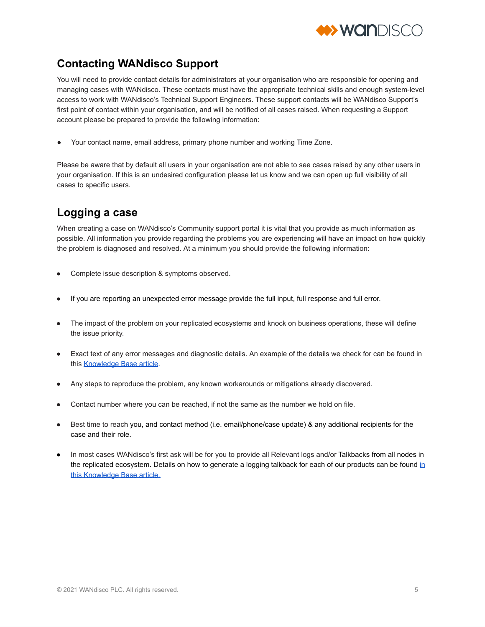

### **Contacting WANdisco Support**

You will need to provide contact details for administrators at your organisation who are responsible for opening and managing cases with WANdisco. These contacts must have the appropriate technical skills and enough system-level access to work with WANdisco's Technical Support Engineers. These support contacts will be WANdisco Support's first point of contact within your organisation, and will be notified of all cases raised. When requesting a Support account please be prepared to provide the following information:

Your contact name, email address, primary phone number and working Time Zone.

Please be aware that by default all users in your organisation are not able to see cases raised by any other users in your organisation. If this is an undesired configuration please let us know and we can open up full visibility of all cases to specific users.

### **Logging a case**

When creating a case on WANdisco's Community support portal it is vital that you provide as much information as possible. All information you provide regarding the problems you are experiencing will have an impact on how quickly the problem is diagnosed and resolved. At a minimum you should provide the following information:

- Complete issue description & symptoms observed.
- If you are reporting an unexpected error message provide the full input, full response and full error.
- The impact of the problem on your replicated ecosystems and knock on business operations, these will define the issue priority.
- Exact text of any error messages and diagnostic details. An example of the details we check for can be found in this [Knowledge](https://community.wandisco.com/s/article/Information-needed-for-WANdisco-technical-support-cases) Base article.
- Any steps to reproduce the problem, any known workarounds or mitigations already discovered.
- Contact number where you can be reached, if not the same as the number we hold on file.
- Best time to reach you, and contact method (i.e. email/phone/case update) & any additional recipients for the case and their role.
- In most cases WANdisco's first ask will be for you to provide all Relevant logs and/or Talkbacks from all nodes in the replicated ecosystem. Details on how to generate a logg[in](https://community.wandisco.com/s/article/Running-Talkback)g talkback for each of our products can be found in this [Knowledge](https://community.wandisco.com/s/article/Running-Talkback) Base article.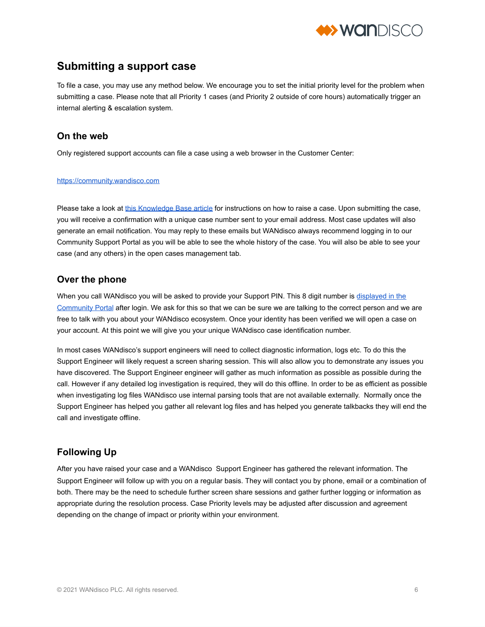

### **Submitting a support case**

To file a case, you may use any method below. We encourage you to set the initial priority level for the problem when submitting a case. Please note that all Priority 1 cases (and Priority 2 outside of core hours) automatically trigger an internal alerting & escalation system.

#### **On the web**

Only registered support accounts can file a case using a web browser in the Customer Center:

#### [https://community.wandisco.com](https://community.wandisco.com/)

Please take a look at this [Knowledge](https://community.wandisco.com/s/article/How-to-create-a-new-support-case) Base article for instructions on how to raise a case. Upon submitting the case, you will receive a confirmation with a unique case number sent to your email address. Most case updates will also generate an email notification. You may reply to these emails but WANdisco always recommend logging in to our Community Support Portal as you will be able to see the whole history of the case. You will also be able to see your case (and any others) in the open cases management tab.

#### **Over the phone**

When you call WANdisco you will be asked to provide your Support PIN. This 8 digit number is [displayed](https://community.wandisco.com/s/article/Where-to-find-your-WANdisco-Support-Pin-number) in the [Community](https://community.wandisco.com/s/article/Where-to-find-your-WANdisco-Support-Pin-number) Portal after login. We ask for this so that we can be sure we are talking to the correct person and we are free to talk with you about your WANdisco ecosystem. Once your identity has been verified we will open a case on your account. At this point we will give you your unique WANdisco case identification number.

In most cases WANdisco's support engineers will need to collect diagnostic information, logs etc. To do this the Support Engineer will likely request a screen sharing session. This will also allow you to demonstrate any issues you have discovered. The Support Engineer engineer will gather as much information as possible as possible during the call. However if any detailed log investigation is required, they will do this offline. In order to be as efficient as possible when investigating log files WANdisco use internal parsing tools that are not available externally. Normally once the Support Engineer has helped you gather all relevant log files and has helped you generate talkbacks they will end the call and investigate offline.

#### **Following Up**

After you have raised your case and a WANdisco Support Engineer has gathered the relevant information. The Support Engineer will follow up with you on a regular basis. They will contact you by phone, email or a combination of both. There may be the need to schedule further screen share sessions and gather further logging or information as appropriate during the resolution process. Case Priority levels may be adjusted after discussion and agreement depending on the change of impact or priority within your environment.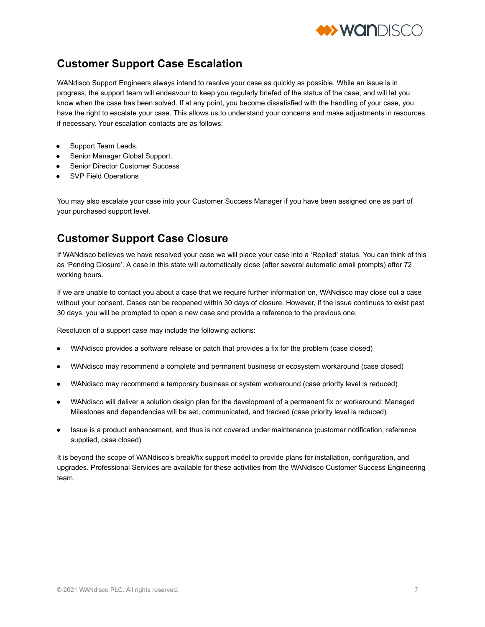

### **Customer Support Case Escalation**

WANdisco Support Engineers always intend to resolve your case as quickly as possible. While an issue is in progress, the support team will endeavour to keep you regularly briefed of the status of the case, and will let you know when the case has been solved. If at any point, you become dissatisfied with the handling of your case, you have the right to escalate your case. This allows us to understand your concerns and make adjustments in resources if necessary. Your escalation contacts are as follows:

- Support Team Leads.
- Senior Manager Global Support.
- **Senior Director Customer Success**
- **SVP Field Operations**

You may also escalate your case into your Customer Success Manager if you have been assigned one as part of your purchased support level.

### **Customer Support Case Closure**

If WANdisco believes we have resolved your case we will place your case into a 'Replied' status. You can think of this as 'Pending Closure'. A case in this state will automatically close (after several automatic email prompts) after 72 working hours.

If we are unable to contact you about a case that we require further information on, WANdisco may close out a case without your consent. Cases can be reopened within 30 days of closure. However, if the issue continues to exist past 30 days, you will be prompted to open a new case and provide a reference to the previous one.

Resolution of a support case may include the following actions:

- WANdisco provides a software release or patch that provides a fix for the problem (case closed)
- WANdisco may recommend a complete and permanent business or ecosystem workaround (case closed)
- WANdisco may recommend a temporary business or system workaround (case priority level is reduced)
- WANdisco will deliver a solution design plan for the development of a permanent fix or workaround: Managed Milestones and dependencies will be set, communicated, and tracked (case priority level is reduced)
- Issue is a product enhancement, and thus is not covered under maintenance (customer notification, reference supplied, case closed)

It is beyond the scope of WANdisco's break/fix support model to provide plans for installation, configuration, and upgrades. Professional Services are available for these activities from the WANdisco Customer Success Engineering team.